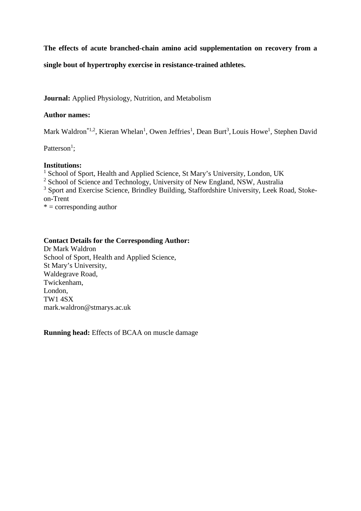**The effects of acute branched-chain amino acid supplementation on recovery from a** 

**single bout of hypertrophy exercise in resistance-trained athletes.** 

**Journal:** Applied Physiology, Nutrition, and Metabolism

# **Author names:**

Mark Waldron\*<sup>1,2</sup>, Kieran Whelan<sup>1</sup>, Owen Jeffries<sup>1</sup>, Dean Burt<sup>3</sup>, Louis Howe<sup>1</sup>, Stephen David

Patterson<sup>1</sup>;

# **Institutions:**

<sup>1</sup> School of Sport, Health and Applied Science, St Mary's University, London, UK <sup>2</sup> School of Science and Technology, University of New England, NSW, Australia <sup>3</sup> Sport and Exercise Science, Brindley Building, Staffordshire University, Leek Road, Stokeon-Trent  $* =$  corresponding author

# **Contact Details for the Corresponding Author:**

Dr Mark Waldron School of Sport, Health and Applied Science, St Mary's University, Waldegrave Road, Twickenham, London, TW1 4SX mark.waldron@stmarys.ac.uk

**Running head:** Effects of BCAA on muscle damage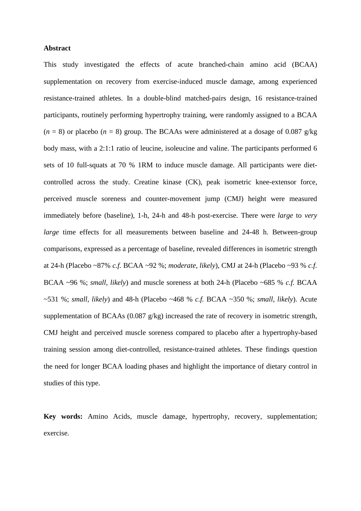### **Abstract**

This study investigated the effects of acute branched-chain amino acid (BCAA) supplementation on recovery from exercise-induced muscle damage, among experienced resistance-trained athletes. In a double-blind matched-pairs design, 16 resistance-trained participants, routinely performing hypertrophy training, were randomly assigned to a BCAA  $(n = 8)$  or placebo  $(n = 8)$  group. The BCAAs were administered at a dosage of 0.087 g/kg body mass, with a 2:1:1 ratio of leucine, isoleucine and valine. The participants performed 6 sets of 10 full-squats at 70 % 1RM to induce muscle damage. All participants were dietcontrolled across the study. Creatine kinase (CK), peak isometric knee-extensor force, perceived muscle soreness and counter-movement jump (CMJ) height were measured immediately before (baseline), 1-h, 24-h and 48-h post-exercise. There were *large* to *very large* time effects for all measurements between baseline and 24-48 h. Between-group comparisons, expressed as a percentage of baseline, revealed differences in isometric strength at 24-h (Placebo ~87% *c.f.* BCAA ~92 %; *moderate, likely*), CMJ at 24-h (Placebo ~93 % *c.f.* BCAA ~96 %; *small, likely*) and muscle soreness at both 24-h (Placebo ~685 % *c.f.* BCAA ~531 %; *small, likely*) and 48-h (Placebo ~468 % *c.f.* BCAA ~350 %; *small, likely*). Acute supplementation of BCAAs (0.087 g/kg) increased the rate of recovery in isometric strength, CMJ height and perceived muscle soreness compared to placebo after a hypertrophy-based training session among diet-controlled, resistance-trained athletes. These findings question the need for longer BCAA loading phases and highlight the importance of dietary control in studies of this type.

**Key words:** Amino Acids, muscle damage, hypertrophy, recovery, supplementation; exercise.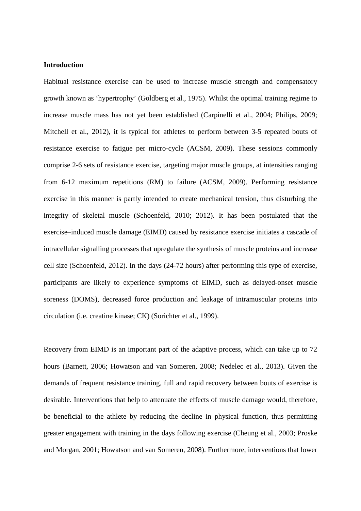# **Introduction**

Habitual resistance exercise can be used to increase muscle strength and compensatory growth known as 'hypertrophy' (Goldberg et al., 1975). Whilst the optimal training regime to increase muscle mass has not yet been established (Carpinelli et al., 2004; Philips, 2009; Mitchell et al., 2012), it is typical for athletes to perform between 3-5 repeated bouts of resistance exercise to fatigue per micro-cycle (ACSM, 2009). These sessions commonly comprise 2-6 sets of resistance exercise, targeting major muscle groups, at intensities ranging from 6-12 maximum repetitions (RM) to failure (ACSM, 2009). Performing resistance exercise in this manner is partly intended to create mechanical tension, thus disturbing the integrity of skeletal muscle (Schoenfeld, 2010; 2012). It has been postulated that the exercise–induced muscle damage (EIMD) caused by resistance exercise initiates a cascade of intracellular signalling processes that upregulate the synthesis of muscle proteins and increase cell size (Schoenfeld, 2012). In the days (24-72 hours) after performing this type of exercise, participants are likely to experience symptoms of EIMD, such as delayed-onset muscle soreness (DOMS), decreased force production and leakage of intramuscular proteins into circulation (i.e. creatine kinase; CK) (Sorichter et al., 1999).

Recovery from EIMD is an important part of the adaptive process, which can take up to 72 hours (Barnett, 2006; Howatson and van Someren, 2008; Nedelec et al., 2013). Given the demands of frequent resistance training, full and rapid recovery between bouts of exercise is desirable. Interventions that help to attenuate the effects of muscle damage would, therefore, be beneficial to the athlete by reducing the decline in physical function, thus permitting greater engagement with training in the days following exercise (Cheung et al., 2003; Proske and Morgan, 2001; Howatson and van Someren, 2008). Furthermore, interventions that lower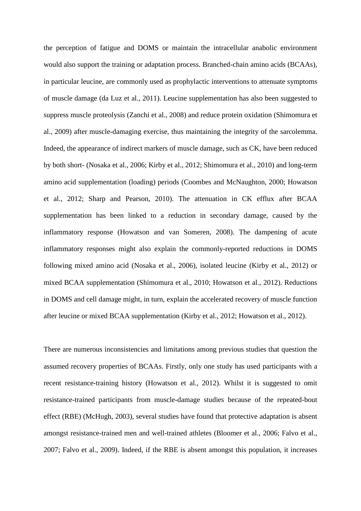the perception of fatigue and DOMS or maintain the intracellular anabolic environment would also support the training or adaptation process. Branched-chain amino acids (BCAAs), in particular leucine, are commonly used as prophylactic interventions to attenuate symptoms of muscle damage (da Luz et al., 2011). Leucine supplementation has also been suggested to suppress muscle proteolysis (Zanchi et al., 2008) and reduce protein oxidation (Shimomura et al., 2009) after muscle-damaging exercise, thus maintaining the integrity of the sarcolemma. Indeed, the appearance of indirect markers of muscle damage, such as CK, have been reduced by both short- (Nosaka et al., 2006; Kirby et al., 2012; Shimomura et al., 2010) and long-term amino acid supplementation (loading) periods (Coombes and McNaughton, 2000; Howatson et al., 2012; Sharp and Pearson, 2010). The attenuation in CK efflux after BCAA supplementation has been linked to a reduction in secondary damage, caused by the inflammatory response (Howatson and van Someren, 2008). The dampening of acute inflammatory responses might also explain the commonly-reported reductions in DOMS following mixed amino acid (Nosaka et al., 2006), isolated leucine (Kirby et al., 2012) or mixed BCAA supplementation (Shimomura et al., 2010; Howatson et al., 2012). Reductions in DOMS and cell damage might, in turn, explain the accelerated recovery of muscle function after leucine or mixed BCAA supplementation (Kirby et al., 2012; Howatson et al., 2012).

There are numerous inconsistencies and limitations among previous studies that question the assumed recovery properties of BCAAs. Firstly, only one study has used participants with a recent resistance-training history (Howatson et al., 2012). Whilst it is suggested to omit resistance-trained participants from muscle-damage studies because of the repeated-bout effect (RBE) (McHugh, 2003), several studies have found that protective adaptation is absent amongst resistance-trained men and well-trained athletes (Bloomer et al., 2006; Falvo et al., 2007; Falvo et al., 2009). Indeed, if the RBE is absent amongst this population, it increases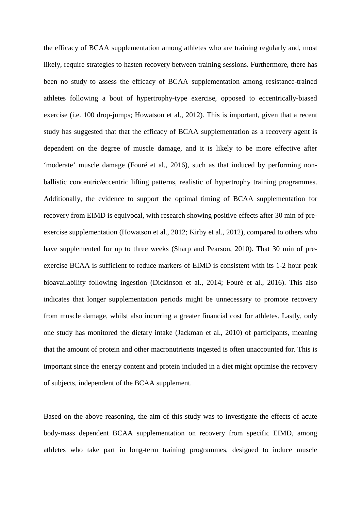the efficacy of BCAA supplementation among athletes who are training regularly and, most likely, require strategies to hasten recovery between training sessions. Furthermore, there has been no study to assess the efficacy of BCAA supplementation among resistance-trained athletes following a bout of hypertrophy-type exercise, opposed to eccentrically-biased exercise (i.e. 100 drop-jumps; Howatson et al., 2012). This is important, given that a recent study has suggested that that the efficacy of BCAA supplementation as a recovery agent is dependent on the degree of muscle damage, and it is likely to be more effective after 'moderate' muscle damage (Fouré et al., 2016), such as that induced by performing nonballistic concentric/eccentric lifting patterns, realistic of hypertrophy training programmes. Additionally, the evidence to support the optimal timing of BCAA supplementation for recovery from EIMD is equivocal, with research showing positive effects after 30 min of preexercise supplementation (Howatson et al., 2012; Kirby et al., 2012), compared to others who have supplemented for up to three weeks (Sharp and Pearson, 2010). That 30 min of preexercise BCAA is sufficient to reduce markers of EIMD is consistent with its 1-2 hour peak bioavailability following ingestion (Dickinson et al., 2014; Fouré et al., 2016). This also indicates that longer supplementation periods might be unnecessary to promote recovery from muscle damage, whilst also incurring a greater financial cost for athletes. Lastly, only one study has monitored the dietary intake (Jackman et al., 2010) of participants, meaning that the amount of protein and other macronutrients ingested is often unaccounted for. This is important since the energy content and protein included in a diet might optimise the recovery of subjects, independent of the BCAA supplement.

Based on the above reasoning, the aim of this study was to investigate the effects of acute body-mass dependent BCAA supplementation on recovery from specific EIMD, among athletes who take part in long-term training programmes, designed to induce muscle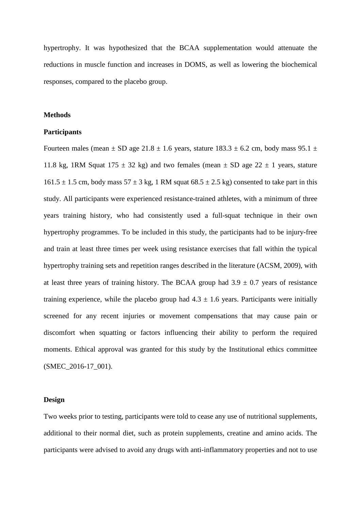hypertrophy. It was hypothesized that the BCAA supplementation would attenuate the reductions in muscle function and increases in DOMS, as well as lowering the biochemical responses, compared to the placebo group.

### **Methods**

### **Participants**

Fourteen males (mean  $\pm$  SD age 21.8  $\pm$  1.6 years, stature 183.3  $\pm$  6.2 cm, body mass 95.1  $\pm$ 11.8 kg, 1RM Squat 175  $\pm$  32 kg) and two females (mean  $\pm$  SD age 22  $\pm$  1 years, stature  $161.5 \pm 1.5$  cm, body mass  $57 \pm 3$  kg, 1 RM squat  $68.5 \pm 2.5$  kg) consented to take part in this study. All participants were experienced resistance-trained athletes, with a minimum of three years training history, who had consistently used a full-squat technique in their own hypertrophy programmes. To be included in this study, the participants had to be injury-free and train at least three times per week using resistance exercises that fall within the typical hypertrophy training sets and repetition ranges described in the literature (ACSM, 2009), with at least three years of training history. The BCAA group had  $3.9 \pm 0.7$  years of resistance training experience, while the placebo group had  $4.3 \pm 1.6$  years. Participants were initially screened for any recent injuries or movement compensations that may cause pain or discomfort when squatting or factors influencing their ability to perform the required moments. Ethical approval was granted for this study by the Institutional ethics committee (SMEC\_2016-17\_001).

### **Design**

Two weeks prior to testing, participants were told to cease any use of nutritional supplements, additional to their normal diet, such as protein supplements, creatine and amino acids. The participants were advised to avoid any drugs with anti-inflammatory properties and not to use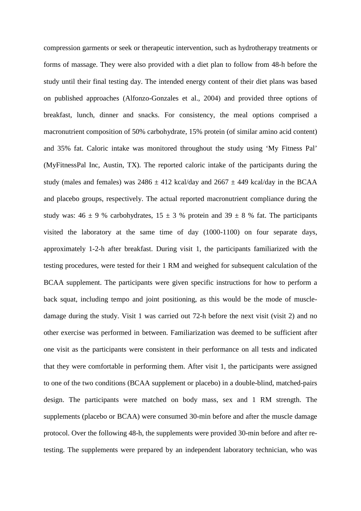compression garments or seek or therapeutic intervention, such as hydrotherapy treatments or forms of massage. They were also provided with a diet plan to follow from 48-h before the study until their final testing day. The intended energy content of their diet plans was based on published approaches (Alfonzo-Gonzales et al., 2004) and provided three options of breakfast, lunch, dinner and snacks. For consistency, the meal options comprised a macronutrient composition of 50% carbohydrate, 15% protein (of similar amino acid content) and 35% fat. Caloric intake was monitored throughout the study using 'My Fitness Pal' (MyFitnessPal Inc, Austin, TX). The reported caloric intake of the participants during the study (males and females) was  $2486 \pm 412$  kcal/day and  $2667 \pm 449$  kcal/day in the BCAA and placebo groups, respectively. The actual reported macronutrient compliance during the study was:  $46 \pm 9$  % carbohydrates,  $15 \pm 3$  % protein and  $39 \pm 8$  % fat. The participants visited the laboratory at the same time of day (1000-1100) on four separate days, approximately 1-2-h after breakfast. During visit 1, the participants familiarized with the testing procedures, were tested for their 1 RM and weighed for subsequent calculation of the BCAA supplement. The participants were given specific instructions for how to perform a back squat, including tempo and joint positioning, as this would be the mode of muscledamage during the study. Visit 1 was carried out 72-h before the next visit (visit 2) and no other exercise was performed in between. Familiarization was deemed to be sufficient after one visit as the participants were consistent in their performance on all tests and indicated that they were comfortable in performing them. After visit 1, the participants were assigned to one of the two conditions (BCAA supplement or placebo) in a double-blind, matched-pairs design. The participants were matched on body mass, sex and 1 RM strength. The supplements (placebo or BCAA) were consumed 30-min before and after the muscle damage protocol. Over the following 48-h, the supplements were provided 30-min before and after retesting. The supplements were prepared by an independent laboratory technician, who was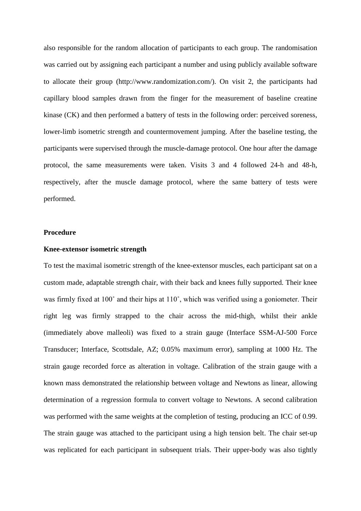also responsible for the random allocation of participants to each group. The randomisation was carried out by assigning each participant a number and using publicly available software to allocate their group (http://www.randomization.com/). On visit 2, the participants had capillary blood samples drawn from the finger for the measurement of baseline creatine kinase (CK) and then performed a battery of tests in the following order: perceived soreness, lower-limb isometric strength and countermovement jumping. After the baseline testing, the participants were supervised through the muscle-damage protocol. One hour after the damage protocol, the same measurements were taken. Visits 3 and 4 followed 24-h and 48-h, respectively, after the muscle damage protocol, where the same battery of tests were performed.

## **Procedure**

## **Knee-extensor isometric strength**

To test the maximal isometric strength of the knee-extensor muscles, each participant sat on a custom made, adaptable strength chair, with their back and knees fully supported. Their knee was firmly fixed at 100˚ and their hips at 110˚, which was verified using a goniometer. Their right leg was firmly strapped to the chair across the mid-thigh, whilst their ankle (immediately above malleoli) was fixed to a strain gauge (Interface SSM-AJ-500 Force Transducer; Interface, Scottsdale, AZ; 0.05% maximum error), sampling at 1000 Hz. The strain gauge recorded force as alteration in voltage. Calibration of the strain gauge with a known mass demonstrated the relationship between voltage and Newtons as linear, allowing determination of a regression formula to convert voltage to Newtons. A second calibration was performed with the same weights at the completion of testing, producing an ICC of 0.99. The strain gauge was attached to the participant using a high tension belt. The chair set-up was replicated for each participant in subsequent trials. Their upper-body was also tightly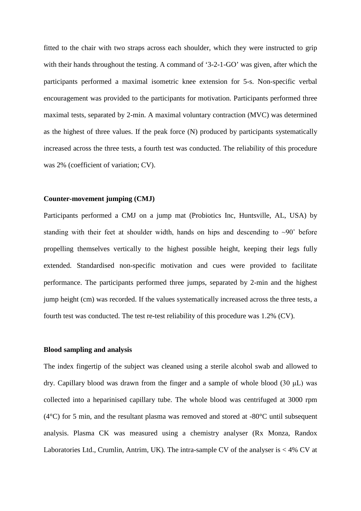fitted to the chair with two straps across each shoulder, which they were instructed to grip with their hands throughout the testing. A command of '3-2-1-GO' was given, after which the participants performed a maximal isometric knee extension for 5-s. Non-specific verbal encouragement was provided to the participants for motivation. Participants performed three maximal tests, separated by 2-min. A maximal voluntary contraction (MVC) was determined as the highest of three values. If the peak force (N) produced by participants systematically increased across the three tests, a fourth test was conducted. The reliability of this procedure was 2% (coefficient of variation; CV).

### **Counter-movement jumping (CMJ)**

Participants performed a CMJ on a jump mat (Probiotics Inc, Huntsville, AL, USA) by standing with their feet at shoulder width, hands on hips and descending to  $\sim 90^\circ$  before propelling themselves vertically to the highest possible height, keeping their legs fully extended. Standardised non-specific motivation and cues were provided to facilitate performance. The participants performed three jumps, separated by 2-min and the highest jump height (cm) was recorded. If the values systematically increased across the three tests, a fourth test was conducted. The test re-test reliability of this procedure was 1.2% (CV).

## **Blood sampling and analysis**

The index fingertip of the subject was cleaned using a sterile alcohol swab and allowed to dry. Capillary blood was drawn from the finger and a sample of whole blood (30 μL) was collected into a heparinised capillary tube. The whole blood was centrifuged at 3000 rpm (4°C) for 5 min, and the resultant plasma was removed and stored at -80°C until subsequent analysis. Plasma CK was measured using a chemistry analyser (Rx Monza, Randox Laboratories Ltd., Crumlin, Antrim, UK). The intra-sample CV of the analyser is < 4% CV at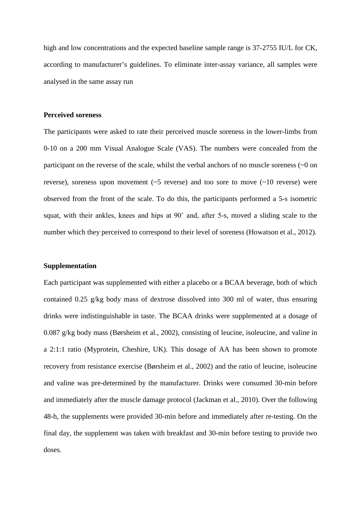high and low concentrations and the expected baseline sample range is 37-2755 IU/L for CK, according to manufacturer's guidelines. To eliminate inter-assay variance, all samples were analysed in the same assay run

### **Perceived soreness**

The participants were asked to rate their perceived muscle soreness in the lower-limbs from 0-10 on a 200 mm Visual Analogue Scale (VAS). The numbers were concealed from the participant on the reverse of the scale, whilst the verbal anchors of no muscle soreness (~0 on reverse), soreness upon movement  $(\sim 5$  reverse) and too sore to move  $(\sim 10$  reverse) were observed from the front of the scale. To do this, the participants performed a 5-s isometric squat, with their ankles, knees and hips at 90˚ and, after 5-s, moved a sliding scale to the number which they perceived to correspond to their level of soreness (Howatson et al., 2012).

### **Supplementation**

Each participant was supplemented with either a placebo or a BCAA beverage, both of which contained 0.25 g/kg body mass of dextrose dissolved into 300 ml of water, thus ensuring drinks were indistinguishable in taste. The BCAA drinks were supplemented at a dosage of 0.087 g/kg body mass (Børsheim et al., 2002), consisting of leucine, isoleucine, and valine in a 2:1:1 ratio (Myprotein, Cheshire, UK). This dosage of AA has been shown to promote recovery from resistance exercise (Børsheim et al., 2002) and the ratio of leucine, isoleucine and valine was pre-determined by the manufacturer. Drinks were consumed 30-min before and immediately after the muscle damage protocol (Jackman et al., 2010). Over the following 48-h, the supplements were provided 30-min before and immediately after re-testing. On the final day, the supplement was taken with breakfast and 30-min before testing to provide two doses.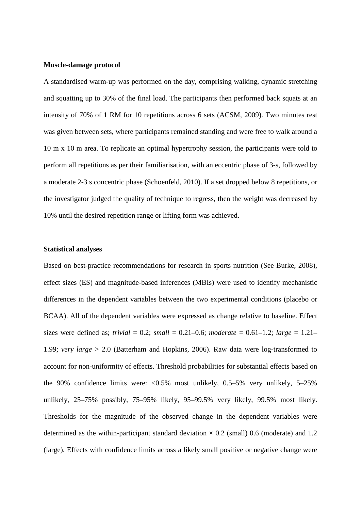#### **Muscle-damage protocol**

A standardised warm-up was performed on the day, comprising walking, dynamic stretching and squatting up to 30% of the final load. The participants then performed back squats at an intensity of 70% of 1 RM for 10 repetitions across 6 sets (ACSM, 2009). Two minutes rest was given between sets, where participants remained standing and were free to walk around a 10 m x 10 m area. To replicate an optimal hypertrophy session, the participants were told to perform all repetitions as per their familiarisation, with an eccentric phase of 3-s, followed by a moderate 2-3 s concentric phase (Schoenfeld, 2010). If a set dropped below 8 repetitions, or the investigator judged the quality of technique to regress, then the weight was decreased by 10% until the desired repetition range or lifting form was achieved.

## **Statistical analyses**

Based on best-practice recommendations for research in sports nutrition (See Burke, 2008), effect sizes (ES) and magnitude-based inferences (MBIs) were used to identify mechanistic differences in the dependent variables between the two experimental conditions (placebo or BCAA). All of the dependent variables were expressed as change relative to baseline. Effect sizes were defined as; *trivial* = 0.2; *small* = 0.21–0.6; *moderate* = 0.61–1.2; *large* = 1.21– 1.99; *very large* > 2.0 (Batterham and Hopkins, 2006). Raw data were log-transformed to account for non-uniformity of effects. Threshold probabilities for substantial effects based on the 90% confidence limits were:  $\langle 0.5\%$  most unlikely, 0.5–5% very unlikely, 5–25% unlikely, 25–75% possibly, 75–95% likely, 95–99.5% very likely, 99.5% most likely. Thresholds for the magnitude of the observed change in the dependent variables were determined as the within-participant standard deviation  $\times$  0.2 (small) 0.6 (moderate) and 1.2 (large). Effects with confidence limits across a likely small positive or negative change were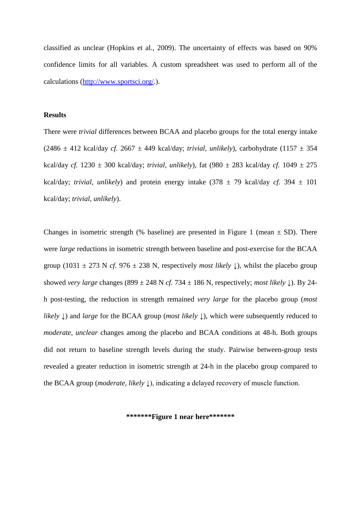classified as unclear (Hopkins et al., 2009). The uncertainty of effects was based on 90% confidence limits for all variables. A custom spreadsheet was used to perform all of the calculations [\(http://www.sportsci.org/.](http://www.sportsci.org/)).

## **Results**

There were *trivial* differences between BCAA and placebo groups for the total energy intake (2486 ± 412 kcal/day *cf.* 2667 ± 449 kcal/day; *trivial, unlikely*), carbohydrate (1157 ± 354 kcal/day *cf.* 1230 ± 300 kcal/day; *trivial, unlikely*), fat (980 ± 283 kcal/day *cf.* 1049 ± 275 kcal/day; *trivial, unlikely*) and protein energy intake  $(378 \pm 79 \text{ kcal/day } cf. 394 \pm 101$ kcal/day; *trivial, unlikely*).

Changes in isometric strength (% baseline) are presented in Figure 1 (mean  $\pm$  SD). There were *large* reductions in isometric strength between baseline and post-exercise for the BCAA group (1031  $\pm$  273 N *cf.* 976  $\pm$  238 N, respectively *most likely*  $\downarrow$ ), whilst the placebo group showed *very large* changes (899  $\pm$  248 N *cf.* 734  $\pm$  186 N, respectively; *most likely*  $\pm$ ). By 24h post-testing, the reduction in strength remained *very large* for the placebo group (*most likely* ↓) and *large* for the BCAA group (*most likely* ↓), which were subsequently reduced to *moderate, unclear* changes among the placebo and BCAA conditions at 48-h. Both groups did not return to baseline strength levels during the study. Pairwise between-group tests revealed a greater reduction in isometric strength at 24-h in the placebo group compared to the BCAA group (*moderate, likely* ↓), indicating a delayed recovery of muscle function.

**\*\*\*\*\*\*\*Figure 1 near here\*\*\*\*\*\*\***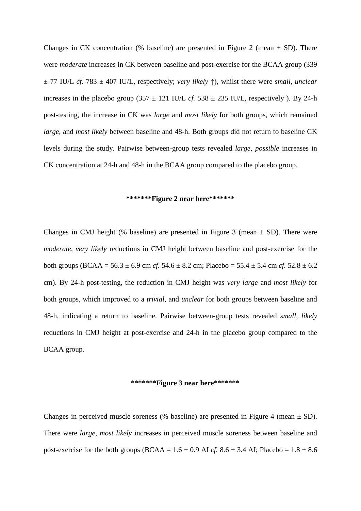Changes in CK concentration (% baseline) are presented in Figure 2 (mean  $\pm$  SD). There were *moderate* increases in CK between baseline and post-exercise for the BCAA group (339 ± 77 IU/L *cf.* 783 ± 407 IU/L, respectively; *very likely* ↑), whilst there were *small, unclear*  increases in the placebo group  $(357 \pm 121 \text{ IU/L }cf. 538 \pm 235 \text{ IU/L}$ , respectively ). By 24-h post-testing, the increase in CK was *large* and *most likely* for both groups, which remained *large,* and *most likely* between baseline and 48-h. Both groups did not return to baseline CK levels during the study. Pairwise between-group tests revealed *large, possible* increases in CK concentration at 24-h and 48-h in the BCAA group compared to the placebo group.

#### **\*\*\*\*\*\*\*Figure 2 near here\*\*\*\*\*\*\***

Changes in CMJ height (% baseline) are presented in Figure 3 (mean  $\pm$  SD). There were *moderate, very likely* reductions in CMJ height between baseline and post-exercise for the both groups (BCAA =  $56.3 \pm 6.9$  cm *cf.*  $54.6 \pm 8.2$  cm; Placebo =  $55.4 \pm 5.4$  cm *cf.*  $52.8 \pm 6.2$ cm). By 24-h post-testing, the reduction in CMJ height was *very large* and *most likely* for both groups, which improved to a *trivial,* and *unclear* for both groups between baseline and 48-h, indicating a return to baseline. Pairwise between-group tests revealed *small, likely* reductions in CMJ height at post-exercise and 24-h in the placebo group compared to the BCAA group.

### **\*\*\*\*\*\*\*Figure 3 near here\*\*\*\*\*\*\***

Changes in perceived muscle soreness (% baseline) are presented in Figure 4 (mean  $\pm$  SD). There were *large, most likely* increases in perceived muscle soreness between baseline and post-exercise for the both groups (BCAA =  $1.6 \pm 0.9$  AI *cf.*  $8.6 \pm 3.4$  AI; Placebo =  $1.8 \pm 8.6$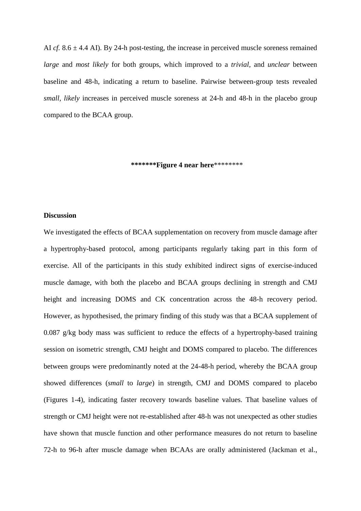AI *cf.*  $8.6 \pm 4.4$  AI). By 24-h post-testing, the increase in perceived muscle soreness remained *large* and *most likely* for both groups, which improved to a *trivial,* and *unclear* between baseline and 48-h, indicating a return to baseline. Pairwise between-group tests revealed *small, likely* increases in perceived muscle soreness at 24-h and 48-h in the placebo group compared to the BCAA group.

#### **\*\*\*\*\*\*\*Figure 4 near here**\*\*\*\*\*\*\*\*

## **Discussion**

We investigated the effects of BCAA supplementation on recovery from muscle damage after a hypertrophy-based protocol, among participants regularly taking part in this form of exercise. All of the participants in this study exhibited indirect signs of exercise-induced muscle damage, with both the placebo and BCAA groups declining in strength and CMJ height and increasing DOMS and CK concentration across the 48-h recovery period. However, as hypothesised, the primary finding of this study was that a BCAA supplement of 0.087 g/kg body mass was sufficient to reduce the effects of a hypertrophy-based training session on isometric strength, CMJ height and DOMS compared to placebo. The differences between groups were predominantly noted at the 24-48-h period, whereby the BCAA group showed differences (*small* to *large*) in strength, CMJ and DOMS compared to placebo (Figures 1-4), indicating faster recovery towards baseline values. That baseline values of strength or CMJ height were not re-established after 48-h was not unexpected as other studies have shown that muscle function and other performance measures do not return to baseline 72-h to 96-h after muscle damage when BCAAs are orally administered (Jackman et al.,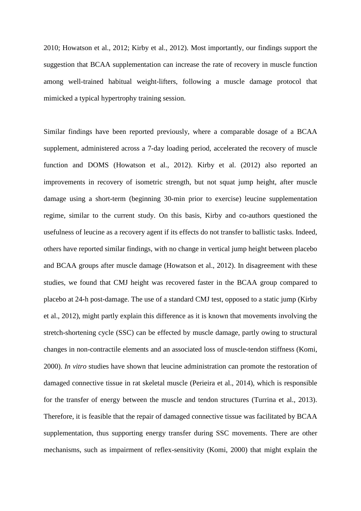2010; Howatson et al., 2012; Kirby et al., 2012). Most importantly, our findings support the suggestion that BCAA supplementation can increase the rate of recovery in muscle function among well-trained habitual weight-lifters, following a muscle damage protocol that mimicked a typical hypertrophy training session.

Similar findings have been reported previously, where a comparable dosage of a BCAA supplement, administered across a 7-day loading period, accelerated the recovery of muscle function and DOMS (Howatson et al., 2012). Kirby et al. (2012) also reported an improvements in recovery of isometric strength, but not squat jump height, after muscle damage using a short-term (beginning 30-min prior to exercise) leucine supplementation regime, similar to the current study. On this basis, Kirby and co-authors questioned the usefulness of leucine as a recovery agent if its effects do not transfer to ballistic tasks. Indeed, others have reported similar findings, with no change in vertical jump height between placebo and BCAA groups after muscle damage (Howatson et al., 2012). In disagreement with these studies, we found that CMJ height was recovered faster in the BCAA group compared to placebo at 24-h post-damage. The use of a standard CMJ test, opposed to a static jump (Kirby et al., 2012), might partly explain this difference as it is known that movements involving the stretch-shortening cycle (SSC) can be effected by muscle damage, partly owing to structural changes in non-contractile elements and an associated loss of muscle-tendon stiffness (Komi, 2000). *In vitro* studies have shown that leucine administration can promote the restoration of damaged connective tissue in rat skeletal muscle (Perieira et al., 2014), which is responsible for the transfer of energy between the muscle and tendon structures (Turrina et al., 2013). Therefore, it is feasible that the repair of damaged connective tissue was facilitated by BCAA supplementation, thus supporting energy transfer during SSC movements. There are other mechanisms, such as impairment of reflex-sensitivity (Komi, 2000) that might explain the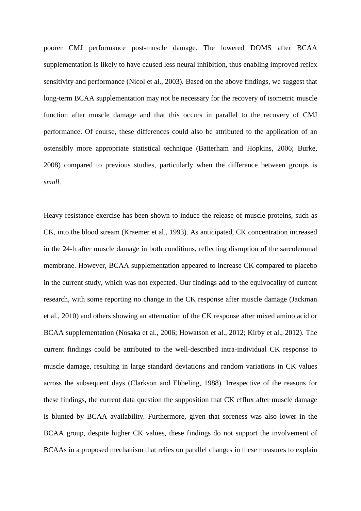poorer CMJ performance post-muscle damage. The lowered DOMS after BCAA supplementation is likely to have caused less neural inhibition, thus enabling improved reflex sensitivity and performance (Nicol et al., 2003). Based on the above findings, we suggest that long-term BCAA supplementation may not be necessary for the recovery of isometric muscle function after muscle damage and that this occurs in parallel to the recovery of CMJ performance. Of course, these differences could also be attributed to the application of an ostensibly more appropriate statistical technique (Batterham and Hopkins, 2006; Burke, 2008) compared to previous studies, particularly when the difference between groups is *small*.

Heavy resistance exercise has been shown to induce the release of muscle proteins, such as CK, into the blood stream (Kraemer et al., 1993). As anticipated, CK concentration increased in the 24-h after muscle damage in both conditions, reflecting disruption of the sarcolemmal membrane. However, BCAA supplementation appeared to increase CK compared to placebo in the current study, which was not expected. Our findings add to the equivocality of current research, with some reporting no change in the CK response after muscle damage (Jackman et al., 2010) and others showing an attenuation of the CK response after mixed amino acid or BCAA supplementation (Nosaka et al., 2006; Howatson et al., 2012; Kirby et al., 2012). The current findings could be attributed to the well-described intra-individual CK response to muscle damage, resulting in large standard deviations and random variations in CK values across the subsequent days (Clarkson and Ebbeling, 1988). Irrespective of the reasons for these findings, the current data question the supposition that CK efflux after muscle damage is blunted by BCAA availability. Furthermore, given that soreness was also lower in the BCAA group, despite higher CK values, these findings do not support the involvement of BCAAs in a proposed mechanism that relies on parallel changes in these measures to explain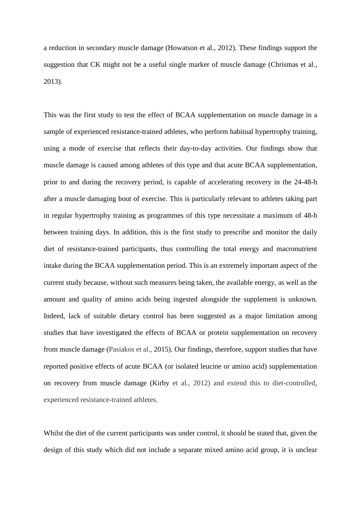a reduction in secondary muscle damage (Howatson et al., 2012). These findings support the suggestion that CK might not be a useful single marker of muscle damage (Chrismas et al., 2013).

This was the first study to test the effect of BCAA supplementation on muscle damage in a sample of experienced resistance-trained athletes, who perform habitual hypertrophy training, using a mode of exercise that reflects their day-to-day activities. Our findings show that muscle damage is caused among athletes of this type and that acute BCAA supplementation, prior to and during the recovery period, is capable of accelerating recovery in the 24-48-h after a muscle damaging bout of exercise. This is particularly relevant to athletes taking part in regular hypertrophy training as programmes of this type necessitate a maximum of 48-h between training days. In addition, this is the first study to prescribe and monitor the daily diet of resistance-trained participants, thus controlling the total energy and macronutrient intake during the BCAA supplementation period. This is an extremely important aspect of the current study because, without such measures being taken, the available energy, as well as the amount and quality of amino acids being ingested alongside the supplement is unknown. Indeed, lack of suitable dietary control has been suggested as a major limitation among studies that have investigated the effects of BCAA or protein supplementation on recovery from muscle damage (Pasiakos et al., 2015). Our findings, therefore, support studies that have reported positive effects of acute BCAA (or isolated leucine or amino acid) supplementation on recovery from muscle damage (Kirby et al., 2012) and extend this to diet-controlled, experienced resistance-trained athletes.

Whilst the diet of the current participants was under control, it should be stated that, given the design of this study which did not include a separate mixed amino acid group, it is unclear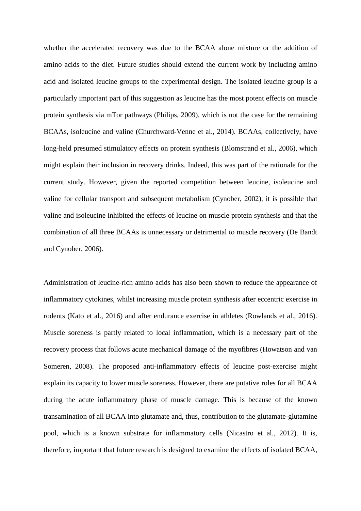whether the accelerated recovery was due to the BCAA alone mixture or the addition of amino acids to the diet. Future studies should extend the current work by including amino acid and isolated leucine groups to the experimental design. The isolated leucine group is a particularly important part of this suggestion as leucine has the most potent effects on muscle protein synthesis via mTor pathways (Philips, 2009), which is not the case for the remaining BCAAs, isoleucine and valine (Churchward-Venne et al., 2014). BCAAs, collectively, have long-held presumed stimulatory effects on protein synthesis (Blomstrand et al., 2006), which might explain their inclusion in recovery drinks. Indeed, this was part of the rationale for the current study. However, given the reported competition between leucine, isoleucine and valine for cellular transport and subsequent metabolism (Cynober, 2002), it is possible that valine and isoleucine inhibited the effects of leucine on muscle protein synthesis and that the combination of all three BCAAs is unnecessary or detrimental to muscle recovery (De Bandt and Cynober, 2006).

Administration of leucine-rich amino acids has also been shown to reduce the appearance of inflammatory cytokines, whilst increasing muscle protein synthesis after eccentric exercise in rodents (Kato et al., 2016) and after endurance exercise in athletes (Rowlands et al., 2016). Muscle soreness is partly related to local inflammation, which is a necessary part of the recovery process that follows acute mechanical damage of the myofibres (Howatson and van Someren, 2008). The proposed anti-inflammatory effects of leucine post-exercise might explain its capacity to lower muscle soreness. However, there are putative roles for all BCAA during the acute inflammatory phase of muscle damage. This is because of the known transamination of all BCAA into glutamate and, thus, contribution to the glutamate-glutamine pool, which is a known substrate for inflammatory cells (Nicastro et al., 2012). It is, therefore, important that future research is designed to examine the effects of isolated BCAA,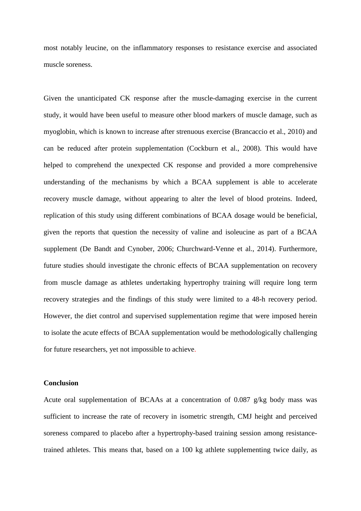most notably leucine, on the inflammatory responses to resistance exercise and associated muscle soreness.

Given the unanticipated CK response after the muscle-damaging exercise in the current study, it would have been useful to measure other blood markers of muscle damage, such as myoglobin, which is known to increase after strenuous exercise (Brancaccio et al., 2010) and can be reduced after protein supplementation (Cockburn et al., 2008). This would have helped to comprehend the unexpected CK response and provided a more comprehensive understanding of the mechanisms by which a BCAA supplement is able to accelerate recovery muscle damage, without appearing to alter the level of blood proteins. Indeed, replication of this study using different combinations of BCAA dosage would be beneficial, given the reports that question the necessity of valine and isoleucine as part of a BCAA supplement (De Bandt and Cynober, 2006; Churchward-Venne et al., 2014). Furthermore, future studies should investigate the chronic effects of BCAA supplementation on recovery from muscle damage as athletes undertaking hypertrophy training will require long term recovery strategies and the findings of this study were limited to a 48-h recovery period. However, the diet control and supervised supplementation regime that were imposed herein to isolate the acute effects of BCAA supplementation would be methodologically challenging for future researchers, yet not impossible to achieve.

#### **Conclusion**

Acute oral supplementation of BCAAs at a concentration of 0.087 g/kg body mass was sufficient to increase the rate of recovery in isometric strength, CMJ height and perceived soreness compared to placebo after a hypertrophy-based training session among resistancetrained athletes. This means that, based on a 100 kg athlete supplementing twice daily, as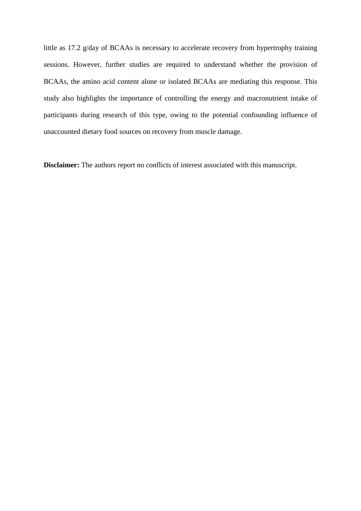little as 17.2 g/day of BCAAs is necessary to accelerate recovery from hypertrophy training sessions. However, further studies are required to understand whether the provision of BCAAs, the amino acid content alone or isolated BCAAs are mediating this response. This study also highlights the importance of controlling the energy and macronutrient intake of participants during research of this type, owing to the potential confounding influence of unaccounted dietary food sources on recovery from muscle damage.

**Disclaimer:** The authors report no conflicts of interest associated with this manuscript.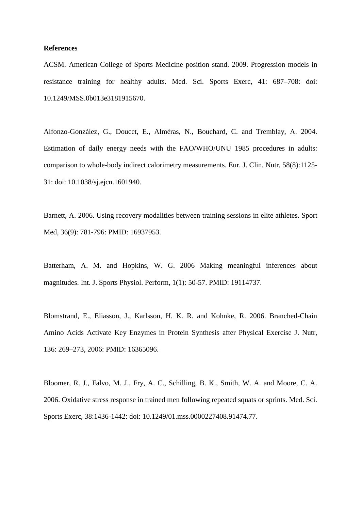#### **References**

ACSM. American College of Sports Medicine position stand. 2009. Progression models in resistance training for healthy adults. Med. Sci. Sports Exerc, 41: 687–708: doi: 10.1249/MSS.0b013e3181915670.

Alfonzo-González, G., Doucet, E., Alméras, N., Bouchard, C. and Tremblay, A. 2004. Estimation of daily energy needs with the FAO/WHO/UNU 1985 procedures in adults: comparison to whole-body indirect calorimetry measurements. Eur. J. Clin. Nutr, 58(8):1125- 31: doi: 10.1038/sj.ejcn.1601940.

Barnett, A. 2006. Using recovery modalities between training sessions in elite athletes. Sport Med, 36(9): 781-796: PMID: 16937953.

Batterham, A. M. and Hopkins, W. G. 2006 Making meaningful inferences about magnitudes. Int. J. Sports Physiol. Perform, 1(1): 50-57. PMID: 19114737.

Blomstrand, E., Eliasson, J., Karlsson, H. K. R. and Kohnke, R. 2006. Branched-Chain Amino Acids Activate Key Enzymes in Protein Synthesis after Physical Exercise J. Nutr, 136: 269–273, 2006: PMID: 16365096.

Bloomer, R. J., Falvo, M. J., Fry, A. C., Schilling, B. K., Smith, W. A. and Moore, C. A. 2006. Oxidative stress response in trained men following repeated squats or sprints. Med. Sci. Sports Exerc, 38:1436-1442: doi: 10.1249/01.mss.0000227408.91474.77.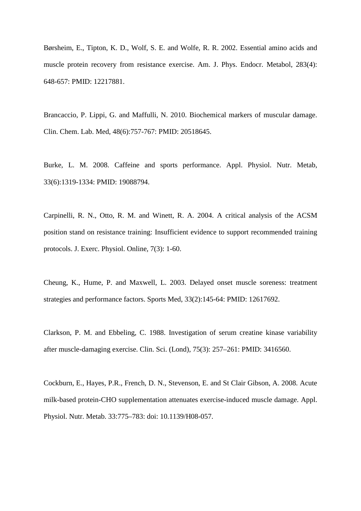Børsheim, E., Tipton, K. D., Wolf, S. E. and Wolfe, R. R. 2002. Essential amino acids and muscle protein recovery from resistance exercise. Am. J. Phys. Endocr. Metabol, 283(4): 648-657: PMID: 12217881.

Brancaccio, P. Lippi, G. and Maffulli, N. 2010. Biochemical markers of muscular damage. Clin. Chem. Lab. Med, 48(6):757-767: PMID: 20518645.

Burke, L. M. 2008. Caffeine and sports performance. Appl. Physiol. Nutr. Metab, 33(6):1319-1334: PMID: 19088794.

Carpinelli, R. N., Otto, R. M. and Winett, R. A. 2004. A critical analysis of the ACSM position stand on resistance training: Insufficient evidence to support recommended training protocols. J. Exerc. Physiol. Online, 7(3): 1-60.

Cheung, K., Hume, P. and Maxwell, L. 2003. Delayed onset muscle soreness: treatment strategies and performance factors. Sports Med, 33(2):145-64: PMID: 12617692.

Clarkson, P. M. and Ebbeling, C. 1988. Investigation of serum creatine kinase variability after muscle-damaging exercise. Clin. Sci. (Lond), 75(3): 257–261: PMID: 3416560.

Cockburn, E., Hayes, P.R., French, D. N., Stevenson, E. and St Clair Gibson, A. 2008. Acute milk-based protein-CHO supplementation attenuates exercise-induced muscle damage. Appl. Physiol. Nutr. Metab. 33:775–783: doi: 10.1139/H08-057.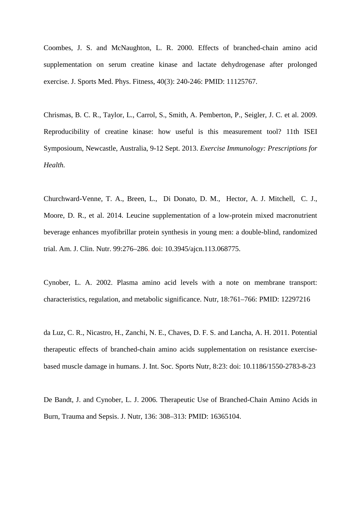Coombes, J. S. and McNaughton, L. R. 2000. Effects of branched-chain amino acid supplementation on serum creatine kinase and lactate dehydrogenase after prolonged exercise. J. Sports Med. Phys. Fitness, 40(3): 240-246: PMID: 11125767.

Chrismas, B. C. R., Taylor, L., Carrol, S., Smith, A. Pemberton, P., Seigler, J. C. et al. 2009. Reproducibility of creatine kinase: how useful is this measurement tool? 11th ISEI Symposioum, Newcastle, Australia, 9-12 Sept. 2013. *Exercise Immunology: Prescriptions for Health.*

Churchward-Venne, T. A., Breen, L., Di Donato, D. M., Hector, A. J. Mitchell, C. J., Moore, D. R., et al. 2014. Leucine supplementation of a low-protein mixed macronutrient beverage enhances myofibrillar protein synthesis in young men: a double-blind, randomized trial. Am. J. Clin. Nutr. 99:276–286. doi: 10.3945/ajcn.113.068775.

Cynober, L. A. 2002. Plasma amino acid levels with a note on membrane transport: characteristics, regulation, and metabolic significance. Nutr, 18:761–766: PMID: 12297216

da Luz, C. R., Nicastro, H., Zanchi, N. E., Chaves, D. F. S. and Lancha, A. H. 2011. Potential therapeutic effects of branched-chain amino acids supplementation on resistance exercisebased muscle damage in humans. J. Int. Soc. Sports Nutr, 8:23: doi: 10.1186/1550-2783-8-23

De Bandt, J. and Cynober, L. J. 2006. Therapeutic Use of Branched-Chain Amino Acids in Burn, Trauma and Sepsis. J. Nutr, 136: 308–313: PMID: 16365104.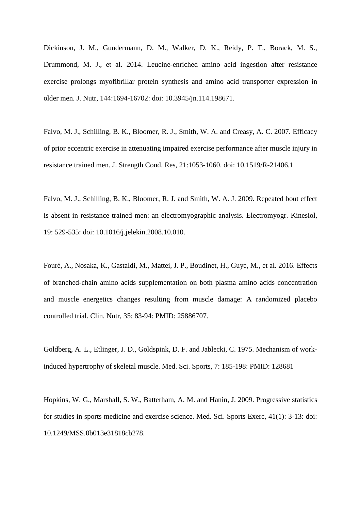Dickinson, J. M., Gundermann, D. M., Walker, D. K., Reidy, P. T., Borack, M. S., Drummond, M. J., et al. 2014. Leucine-enriched amino acid ingestion after resistance exercise prolongs myofibrillar protein synthesis and amino acid transporter expression in older men. J. Nutr, 144:1694-16702: doi: 10.3945/jn.114.198671.

Falvo, M. J., Schilling, B. K., Bloomer, R. J., Smith, W. A. and Creasy, A. C. 2007. Efficacy of prior eccentric exercise in attenuating impaired exercise performance after muscle injury in resistance trained men. J. Strength Cond. Res, 21:1053-1060. doi: 10.1519/R-21406.1

Falvo, M. J., Schilling, B. K., Bloomer, R. J. and Smith, W. A. J. 2009. Repeated bout effect is absent in resistance trained men: an electromyographic analysis. Electromyogr. Kinesiol, 19: 529-535: doi: 10.1016/j.jelekin.2008.10.010.

Fouré, A., Nosaka, K., Gastaldi, M., Mattei, J. P., Boudinet, H., Guye, M., et al. 2016. Effects of branched-chain amino acids supplementation on both plasma amino acids concentration and muscle energetics changes resulting from muscle damage: A randomized placebo controlled trial. Clin. Nutr, 35: 83-94: PMID: 25886707.

Goldberg, A. L., Etlinger, J. D., Goldspink, D. F. and Jablecki, C. 1975. Mechanism of workinduced hypertrophy of skeletal muscle. Med. Sci. Sports, 7: 185-198: PMID: 128681

Hopkins, W. G., Marshall, S. W., Batterham, A. M. and Hanin, J. 2009. Progressive statistics for studies in sports medicine and exercise science. Med. Sci. Sports Exerc, 41(1): 3-13: doi: 10.1249/MSS.0b013e31818cb278.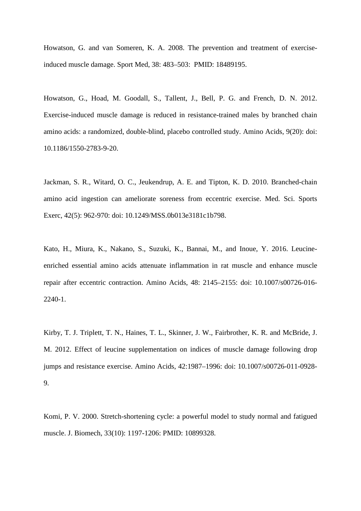Howatson, G. and van Someren, K. A. 2008. The prevention and treatment of exerciseinduced muscle damage. Sport Med, 38: 483–503: PMID: 18489195.

Howatson, G., Hoad, M. Goodall, S., Tallent, J., Bell, P. G. and French, D. N. 2012. Exercise-induced muscle damage is reduced in resistance-trained males by branched chain amino acids: a randomized, double-blind, placebo controlled study. Amino Acids, 9(20): doi: 10.1186/1550-2783-9-20.

Jackman, S. R., Witard, O. C., Jeukendrup, A. E. and Tipton, K. D. 2010. Branched-chain amino acid ingestion can ameliorate soreness from eccentric exercise. Med. Sci. Sports Exerc, 42(5): 962-970: doi: 10.1249/MSS.0b013e3181c1b798.

Kato, H., Miura, K., Nakano, S., Suzuki, K., Bannai, M., and Inoue, Y. 2016. Leucineenriched essential amino acids attenuate inflammation in rat muscle and enhance muscle repair after eccentric contraction. Amino Acids, 48: 2145–2155: doi: 10.1007/s00726-016- 2240-1.

Kirby, T. J. Triplett, T. N., Haines, T. L., Skinner, J. W., Fairbrother, K. R. and McBride, J. M. 2012. Effect of leucine supplementation on indices of muscle damage following drop jumps and resistance exercise. Amino Acids, 42:1987–1996: doi: 10.1007/s00726-011-0928- 9.

Komi, P. V. 2000. Stretch-shortening cycle: a powerful model to study normal and fatigued muscle. J. Biomech, 33(10): 1197-1206: PMID: 10899328.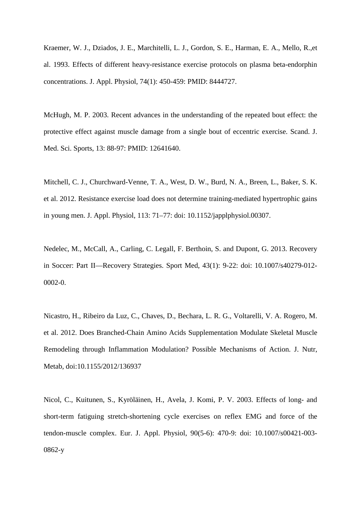Kraemer, W. J., Dziados, J. E., Marchitelli, L. J., Gordon, S. E., Harman, E. A., Mello, R.,et al. 1993. Effects of different heavy-resistance exercise protocols on plasma beta-endorphin concentrations. J. Appl. Physiol, 74(1): 450-459: PMID: 8444727.

McHugh, M. P. 2003. Recent advances in the understanding of the repeated bout effect: the protective effect against muscle damage from a single bout of eccentric exercise. Scand. J. Med. Sci. Sports, 13: 88-97: PMID: 12641640.

Mitchell, C. J., Churchward-Venne, T. A., West, D. W., Burd, N. A., Breen, L., Baker, S. K. et al. 2012. Resistance exercise load does not determine training-mediated hypertrophic gains in young men. J. Appl. Physiol, 113: 71–77: doi: 10.1152/japplphysiol.00307.

Nedelec, M., McCall, A., Carling, C. Legall, F. Berthoin, S. and Dupont, G. 2013. Recovery in Soccer: Part II—Recovery Strategies. Sport Med, 43(1): 9-22: doi: 10.1007/s40279-012- 0002-0.

Nicastro, H., Ribeiro da Luz, C., Chaves, D., Bechara, L. R. G., Voltarelli, V. A. Rogero, M. et al. 2012. Does Branched-Chain Amino Acids Supplementation Modulate Skeletal Muscle Remodeling through Inflammation Modulation? Possible Mechanisms of Action. J. Nutr, Metab, doi:10.1155/2012/136937

Nicol, C., Kuitunen, S., Kyröläinen, H., Avela, J. Komi, P. V. 2003. Effects of long- and short-term fatiguing stretch-shortening cycle exercises on reflex EMG and force of the tendon-muscle complex. Eur. J. Appl. Physiol, 90(5-6): 470-9: doi: 10.1007/s00421-003- 0862-y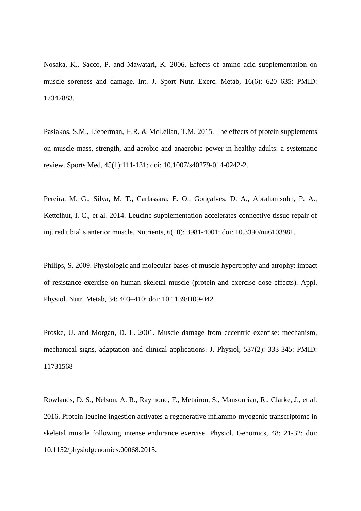Nosaka, K., Sacco, P. and Mawatari, K. 2006. Effects of amino acid supplementation on muscle soreness and damage. Int. J. Sport Nutr. Exerc. Metab, 16(6): 620–635: PMID: 17342883.

Pasiakos, S.M., Lieberman, H.R. & McLellan, T.M. 2015. The effects of protein supplements on muscle mass, strength, and aerobic and anaerobic power in healthy adults: a systematic review. Sports Med, 45(1):111-131: doi: 10.1007/s40279-014-0242-2.

Pereira, M. G., Silva, M. T., Carlassara, E. O., Gonçalves, D. A., Abrahamsohn, P. A., Kettelhut, I. C., et al. 2014. Leucine supplementation accelerates connective tissue repair of injured tibialis anterior muscle. Nutrients, 6(10): 3981-4001: doi: 10.3390/nu6103981.

Philips, S. 2009. Physiologic and molecular bases of muscle hypertrophy and atrophy: impact of resistance exercise on human skeletal muscle (protein and exercise dose effects). Appl. Physiol. Nutr. Metab, 34: 403–410: doi: 10.1139/H09-042.

Proske, U. and Morgan, D. L. 2001. Muscle damage from eccentric exercise: mechanism, mechanical signs, adaptation and clinical applications. J. Physiol, 537(2): 333-345: PMID: 11731568

Rowlands, D. S., Nelson, A. R., Raymond, F., Metairon, S., Mansourian, R., Clarke, J., et al. 2016. Protein-leucine ingestion activates a regenerative inflammo-myogenic transcriptome in skeletal muscle following intense endurance exercise. Physiol. Genomics, 48: 21-32: doi: 10.1152/physiolgenomics.00068.2015.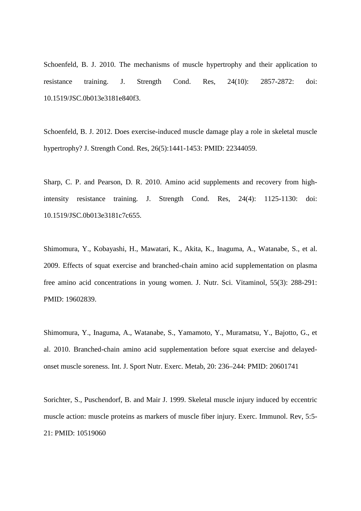Schoenfeld, B. J. 2010. The mechanisms of muscle hypertrophy and their application to resistance training. J. Strength Cond. Res, 24(10): 2857-2872: doi: 10.1519/JSC.0b013e3181e840f3.

Schoenfeld, B. J. 2012. Does exercise-induced muscle damage play a role in skeletal muscle hypertrophy? J. Strength Cond. Res, 26(5):1441-1453: PMID: 22344059.

Sharp, C. P. and Pearson, D. R. 2010. Amino acid supplements and recovery from highintensity resistance training. J. Strength Cond. Res, 24(4): 1125-1130: doi: 10.1519/JSC.0b013e3181c7c655.

Shimomura, Y., Kobayashi, H., Mawatari, K., Akita, K., Inaguma, A., Watanabe, S., et al. 2009. Effects of squat exercise and branched-chain amino acid supplementation on plasma free amino acid concentrations in young women. J. Nutr. Sci. Vitaminol, 55(3): 288-291: PMID: 19602839.

Shimomura, Y., Inaguma, A., Watanabe, S., Yamamoto, Y., Muramatsu, Y., Bajotto, G., et al. 2010. Branched-chain amino acid supplementation before squat exercise and delayedonset muscle soreness. Int. J. Sport Nutr. Exerc. Metab, 20: 236–244: PMID: 20601741

Sorichter, S., Puschendorf, B. and Mair J. 1999. Skeletal muscle injury induced by eccentric muscle action: muscle proteins as markers of muscle fiber injury. Exerc. Immunol. Rev, 5:5- 21: PMID: 10519060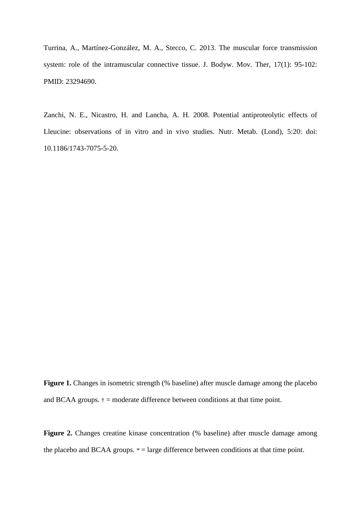Turrina, A., Martínez-González, M. A., Stecco, C. 2013. The muscular force transmission system: role of the intramuscular connective tissue. J. Bodyw. Mov. Ther, 17(1): 95-102: PMID: 23294690.

Zanchi, N. E., Nicastro, H. and Lancha, A. H. 2008. Potential antiproteolytic effects of Lleucine: observations of in vitro and in vivo studies. Nutr. Metab. (Lond), 5:20: doi: 10.1186/1743-7075-5-20.

**Figure 1.** Changes in isometric strength (% baseline) after muscle damage among the placebo and BCAA groups.  $\dagger$  = moderate difference between conditions at that time point.

Figure 2. Changes creatine kinase concentration (% baseline) after muscle damage among the placebo and BCAA groups. \* = large difference between conditions at that time point.